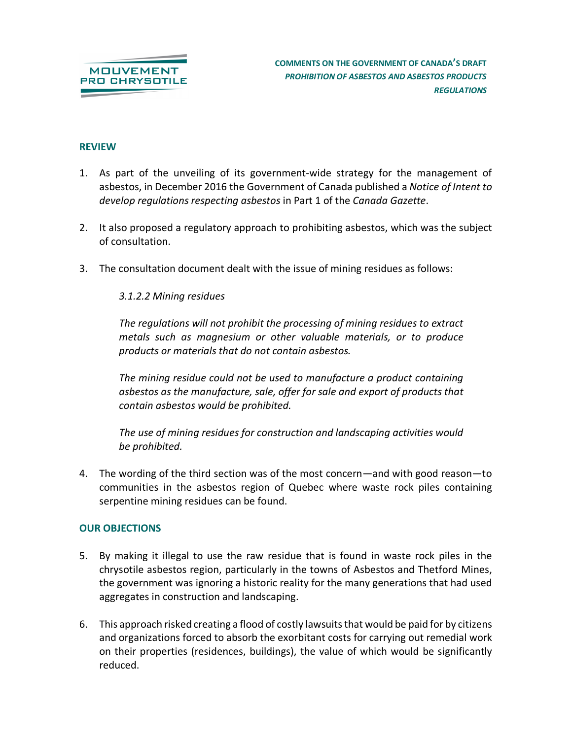

### **REVIEW**

- 1. As part of the unveiling of its government-wide strategy for the management of asbestos, in December 2016 the Government of Canada published a *Notice of Intent to develop regulations respecting asbestos* in Part 1 of the *Canada Gazette*.
- 2. It also proposed a regulatory approach to prohibiting asbestos, which was the subject of consultation.
- 3. The consultation document dealt with the issue of mining residues as follows:

### *3.1.2.2 Mining residues*

*The regulations will not prohibit the processing of mining residues to extract metals such as magnesium or other valuable materials, or to produce products or materials that do not contain asbestos.*

*The mining residue could not be used to manufacture a product containing asbestos as the manufacture, sale, offer for sale and export of products that contain asbestos would be prohibited.*

*The use of mining residues for construction and landscaping activities would be prohibited.*

4. The wording of the third section was of the most concern—and with good reason—to communities in the asbestos region of Quebec where waste rock piles containing serpentine mining residues can be found.

# **OUR OBJECTIONS**

- 5. By making it illegal to use the raw residue that is found in waste rock piles in the chrysotile asbestos region, particularly in the towns of Asbestos and Thetford Mines, the government was ignoring a historic reality for the many generations that had used aggregates in construction and landscaping.
- 6. This approach risked creating a flood of costly lawsuits that would be paid for by citizens and organizations forced to absorb the exorbitant costs for carrying out remedial work on their properties (residences, buildings), the value of which would be significantly reduced.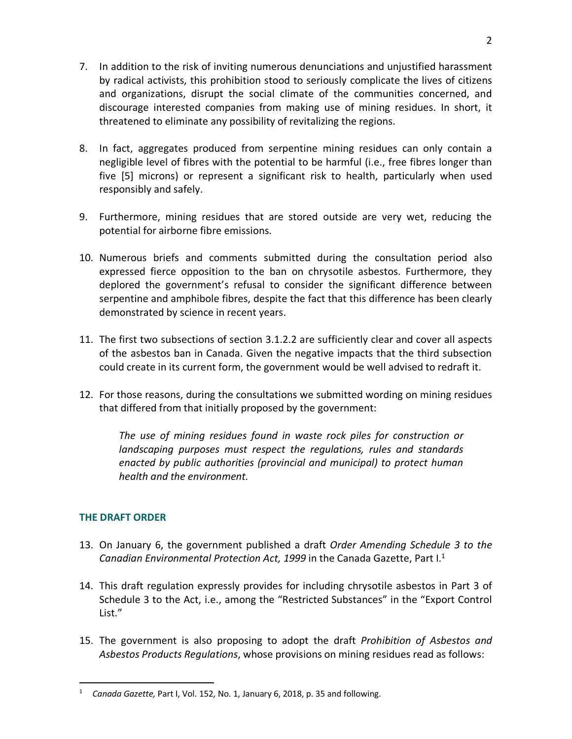- 7. In addition to the risk of inviting numerous denunciations and unjustified harassment by radical activists, this prohibition stood to seriously complicate the lives of citizens and organizations, disrupt the social climate of the communities concerned, and discourage interested companies from making use of mining residues. In short, it threatened to eliminate any possibility of revitalizing the regions.
- 8. In fact, aggregates produced from serpentine mining residues can only contain a negligible level of fibres with the potential to be harmful (i.e., free fibres longer than five [5] microns) or represent a significant risk to health, particularly when used responsibly and safely.
- 9. Furthermore, mining residues that are stored outside are very wet, reducing the potential for airborne fibre emissions.
- 10. Numerous briefs and comments submitted during the consultation period also expressed fierce opposition to the ban on chrysotile asbestos. Furthermore, they deplored the government's refusal to consider the significant difference between serpentine and amphibole fibres, despite the fact that this difference has been clearly demonstrated by science in recent years.
- 11. The first two subsections of section 3.1.2.2 are sufficiently clear and cover all aspects of the asbestos ban in Canada. Given the negative impacts that the third subsection could create in its current form, the government would be well advised to redraft it.
- 12. For those reasons, during the consultations we submitted wording on mining residues that differed from that initially proposed by the government:

*The use of mining residues found in waste rock piles for construction or landscaping purposes must respect the regulations, rules and standards enacted by public authorities (provincial and municipal) to protect human health and the environment.*

# **THE DRAFT ORDER**

- 13. On January 6, the government published a draft *Order Amending Schedule 3 to the Canadian Environmental Protection Act, 1999* in the Canada Gazette, Part I.1
- 14. This draft regulation expressly provides for including chrysotile asbestos in Part 3 of Schedule 3 to the Act, i.e., among the "Restricted Substances" in the "Export Control List."
- 15. The government is also proposing to adopt the draft *Prohibition of Asbestos and Asbestos Products Regulations*, whose provisions on mining residues read as follows:

 $\frac{1}{1}$ *Canada Gazette,* Part I, Vol. 152, No. 1, January 6, 2018, p. 35 and following.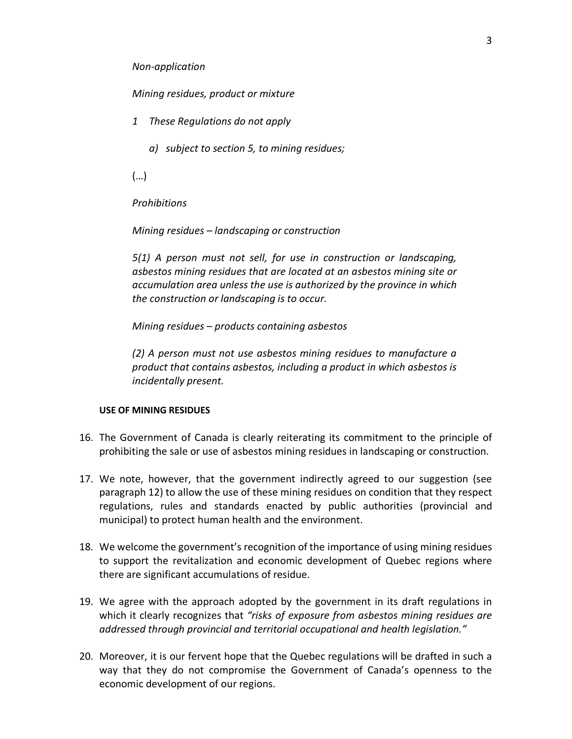#### *Non-application*

*Mining residues, product or mixture*

- *1 These Regulations do not apply*
	- *a) subject to section 5, to mining residues;*

(…)

*Prohibitions*

*Mining residues – landscaping or construction*

*5(1) A person must not sell, for use in construction or landscaping, asbestos mining residues that are located at an asbestos mining site or accumulation area unless the use is authorized by the province in which the construction or landscaping is to occur.*

*Mining residues – products containing asbestos*

*(2) A person must not use asbestos mining residues to manufacture a product that contains asbestos, including a product in which asbestos is incidentally present.*

#### **USE OF MINING RESIDUES**

- 16. The Government of Canada is clearly reiterating its commitment to the principle of prohibiting the sale or use of asbestos mining residues in landscaping or construction.
- 17. We note, however, that the government indirectly agreed to our suggestion (see paragraph 12) to allow the use of these mining residues on condition that they respect regulations, rules and standards enacted by public authorities (provincial and municipal) to protect human health and the environment.
- 18. We welcome the government's recognition of the importance of using mining residues to support the revitalization and economic development of Quebec regions where there are significant accumulations of residue.
- 19. We agree with the approach adopted by the government in its draft regulations in which it clearly recognizes that *"risks of exposure from asbestos mining residues are addressed through provincial and territorial occupational and health legislation."*
- 20. Moreover, it is our fervent hope that the Quebec regulations will be drafted in such a way that they do not compromise the Government of Canada's openness to the economic development of our regions.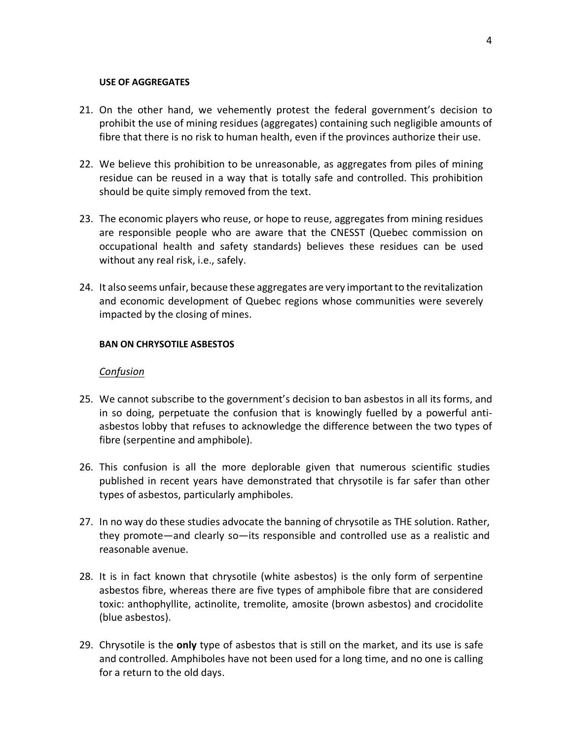#### **USE OF AGGREGATES**

- 21. On the other hand, we vehemently protest the federal government's decision to prohibit the use of mining residues (aggregates) containing such negligible amounts of fibre that there is no risk to human health, even if the provinces authorize their use.
- 22. We believe this prohibition to be unreasonable, as aggregates from piles of mining residue can be reused in a way that is totally safe and controlled. This prohibition should be quite simply removed from the text.
- 23. The economic players who reuse, or hope to reuse, aggregates from mining residues are responsible people who are aware that the CNESST (Quebec commission on occupational health and safety standards) believes these residues can be used without any real risk, i.e., safely.
- 24. It also seems unfair, because these aggregates are very important to the revitalization and economic development of Quebec regions whose communities were severely impacted by the closing of mines.

### **BAN ON CHRYSOTILE ASBESTOS**

#### *Confusion*

- 25. We cannot subscribe to the government's decision to ban asbestos in all its forms, and in so doing, perpetuate the confusion that is knowingly fuelled by a powerful antiasbestos lobby that refuses to acknowledge the difference between the two types of fibre (serpentine and amphibole).
- 26. This confusion is all the more deplorable given that numerous scientific studies published in recent years have demonstrated that chrysotile is far safer than other types of asbestos, particularly amphiboles.
- 27. In no way do these studies advocate the banning of chrysotile as THE solution. Rather, they promote—and clearly so—its responsible and controlled use as a realistic and reasonable avenue.
- 28. It is in fact known that chrysotile (white asbestos) is the only form of serpentine asbestos fibre, whereas there are five types of amphibole fibre that are considered toxic: anthophyllite, actinolite, tremolite, amosite (brown asbestos) and crocidolite (blue asbestos).
- 29. Chrysotile is the **only** type of asbestos that is still on the market, and its use is safe and controlled. Amphiboles have not been used for a long time, and no one is calling for a return to the old days.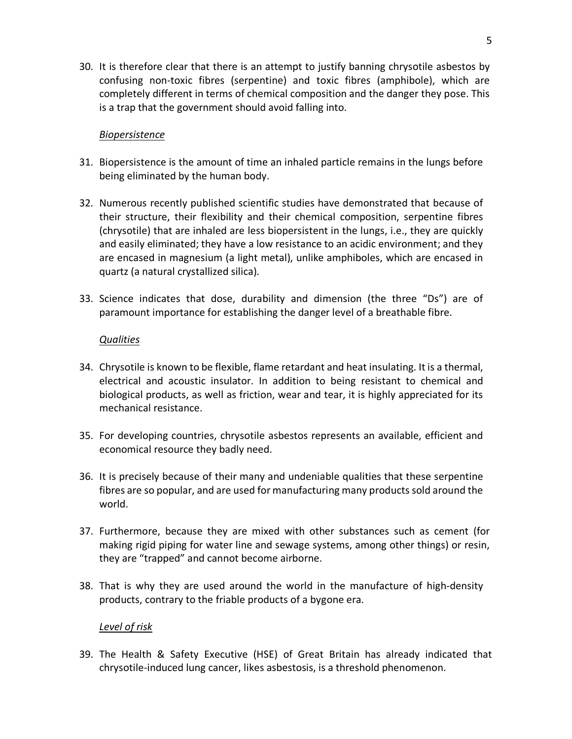30. It is therefore clear that there is an attempt to justify banning chrysotile asbestos by confusing non-toxic fibres (serpentine) and toxic fibres (amphibole), which are completely different in terms of chemical composition and the danger they pose. This is a trap that the government should avoid falling into.

## *Biopersistence*

- 31. Biopersistence is the amount of time an inhaled particle remains in the lungs before being eliminated by the human body.
- 32. Numerous recently published scientific studies have demonstrated that because of their structure, their flexibility and their chemical composition, serpentine fibres (chrysotile) that are inhaled are less biopersistent in the lungs, i.e., they are quickly and easily eliminated; they have a low resistance to an acidic environment; and they are encased in magnesium (a light metal), unlike amphiboles, which are encased in quartz (a natural crystallized silica).
- 33. Science indicates that dose, durability and dimension (the three "Ds") are of paramount importance for establishing the danger level of a breathable fibre.

### *Qualities*

- 34. Chrysotile is known to be flexible, flame retardant and heat insulating. It is a thermal, electrical and acoustic insulator. In addition to being resistant to chemical and biological products, as well as friction, wear and tear, it is highly appreciated for its mechanical resistance.
- 35. For developing countries, chrysotile asbestos represents an available, efficient and economical resource they badly need.
- 36. It is precisely because of their many and undeniable qualities that these serpentine fibres are so popular, and are used for manufacturing many products sold around the world.
- 37. Furthermore, because they are mixed with other substances such as cement (for making rigid piping for water line and sewage systems, among other things) or resin, they are "trapped" and cannot become airborne.
- 38. That is why they are used around the world in the manufacture of high-density products, contrary to the friable products of a bygone era.

# *Level of risk*

39. The Health & Safety Executive (HSE) of Great Britain has already indicated that chrysotile-induced lung cancer, likes asbestosis, is a threshold phenomenon.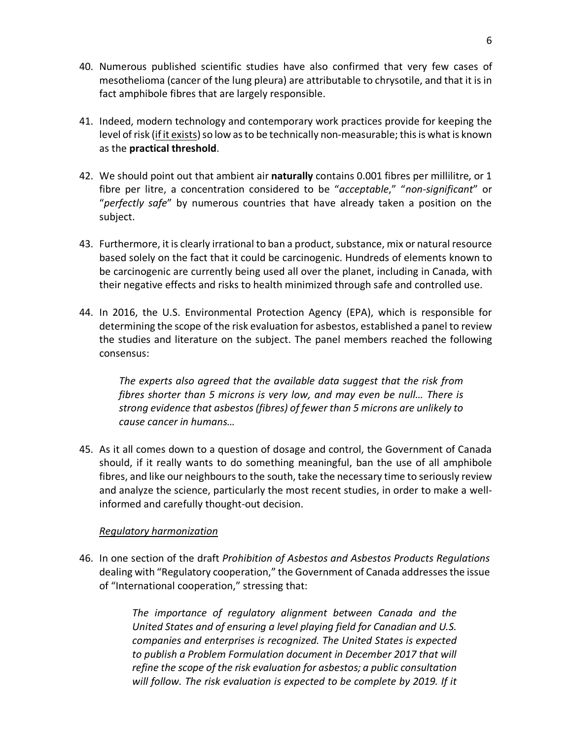- 40. Numerous published scientific studies have also confirmed that very few cases of mesothelioma (cancer of the lung pleura) are attributable to chrysotile, and that it is in fact amphibole fibres that are largely responsible.
- 41. Indeed, modern technology and contemporary work practices provide for keeping the level of risk (if it exists) so low as to be technically non-measurable; this is what is known as the **practical threshold**.
- 42. We should point out that ambient air **naturally** contains 0.001 fibres per millilitre, or 1 fibre per litre, a concentration considered to be "*acceptable*," "*non-significant*" or "*perfectly safe*" by numerous countries that have already taken a position on the subject.
- 43. Furthermore, it is clearly irrational to ban a product, substance, mix or natural resource based solely on the fact that it could be carcinogenic. Hundreds of elements known to be carcinogenic are currently being used all over the planet, including in Canada, with their negative effects and risks to health minimized through safe and controlled use.
- 44. In 2016, the U.S. Environmental Protection Agency (EPA), which is responsible for determining the scope of the risk evaluation for asbestos, established a panel to review the studies and literature on the subject. The panel members reached the following consensus:

*The experts also agreed that the available data suggest that the risk from fibres shorter than 5 microns is very low, and may even be null… There is strong evidence that asbestos (fibres) of fewer than 5 microns are unlikely to cause cancer in humans…*

45. As it all comes down to a question of dosage and control, the Government of Canada should, if it really wants to do something meaningful, ban the use of all amphibole fibres, and like our neighbours to the south, take the necessary time to seriously review and analyze the science, particularly the most recent studies, in order to make a wellinformed and carefully thought-out decision.

# *Regulatory harmonization*

46. In one section of the draft *Prohibition of Asbestos and Asbestos Products Regulations* dealing with "Regulatory cooperation," the Government of Canada addresses the issue of "International cooperation," stressing that:

> *The importance of regulatory alignment between Canada and the United States and of ensuring a level playing field for Canadian and U.S. companies and enterprises is recognized. The United States is expected to publish a Problem Formulation document in December 2017 that will refine the scope of the risk evaluation for asbestos; a public consultation will follow. The risk evaluation is expected to be complete by 2019. If it*